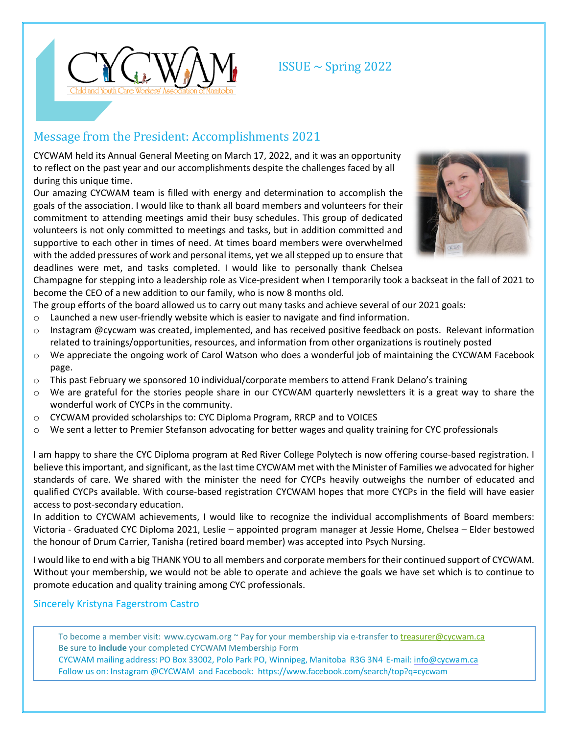ISSUE ~ Spring 2022



## Message from the President: Accomplishments 2021

CYCWAM held its Annual General Meeting on March 17, 2022, and it was an opportunity to reflect on the past year and our accomplishments despite the challenges faced by all during this unique time.

Our amazing CYCWAM team is filled with energy and determination to accomplish the goals of the association. I would like to thank all board members and volunteers for their commitment to attending meetings amid their busy schedules. This group of dedicated volunteers is not only committed to meetings and tasks, but in addition committed and supportive to each other in times of need. At times board members were overwhelmed with the added pressures of work and personal items, yet we all stepped up to ensure that deadlines were met, and tasks completed. I would like to personally thank Chelsea



Champagne for stepping into a leadership role as Vice-president when I temporarily took a backseat in the fall of 2021 to become the CEO of a new addition to our family, who is now 8 months old.

The group efforts of the board allowed us to carry out many tasks and achieve several of our 2021 goals:

- $\circ$  Launched a new user-friendly website which is easier to navigate and find information.
- o Instagram @cycwam was created, implemented, and has received positive feedback on posts. Relevant information related to trainings/opportunities, resources, and information from other organizations is routinely posted
- o We appreciate the ongoing work of Carol Watson who does a wonderful job of maintaining the CYCWAM Facebook page.
- o This past February we sponsored 10 individual/corporate members to attend Frank Delano's training
- o We are grateful for the stories people share in our CYCWAM quarterly newsletters it is a great way to share the wonderful work of CYCPs in the community.
- o CYCWAM provided scholarships to: CYC Diploma Program, RRCP and to VOICES
- o We sent a letter to Premier Stefanson advocating for better wages and quality training for CYC professionals

I am happy to share the CYC Diploma program at Red River College Polytech is now offering course-based registration. I believe this important, and significant, as the last time CYCWAM met with the Minister of Families we advocated for higher standards of care. We shared with the minister the need for CYCPs heavily outweighs the number of educated and qualified CYCPs available. With course-based registration CYCWAM hopes that more CYCPs in the field will have easier access to post-secondary education.

In addition to CYCWAM achievements, I would like to recognize the individual accomplishments of Board members: Victoria - Graduated CYC Diploma 2021, Leslie – appointed program manager at Jessie Home, Chelsea – Elder bestowed the honour of Drum Carrier, Tanisha (retired board member) was accepted into Psych Nursing.

I would like to end with a big THANK YOU to all members and corporate members for their continued support of CYCWAM. Without your membership, we would not be able to operate and achieve the goals we have set which is to continue to promote education and quality training among CYC professionals.

## Sincerely Kristyna Fagerstrom Castro

To become a member visit: [www.cycwam.org](http://www.cycwam.org/) ~ Pay for your membership via e-transfer t[o treasurer@cycwam.ca](mailto:treasurer@cycwam.ca) Be sure to **include** your completed CYCWAM Membership Form

CYCWAM mailing address: PO Box 33002, Polo Park PO, Winnipeg, Manitoba R3G 3N4 E-mail[: info@cycwam.ca](mailto:info@cycwam.ca) Follow us on: Instagram @CYCWAM and Facebook: https://www.facebook.com/search/top?q=cycwam